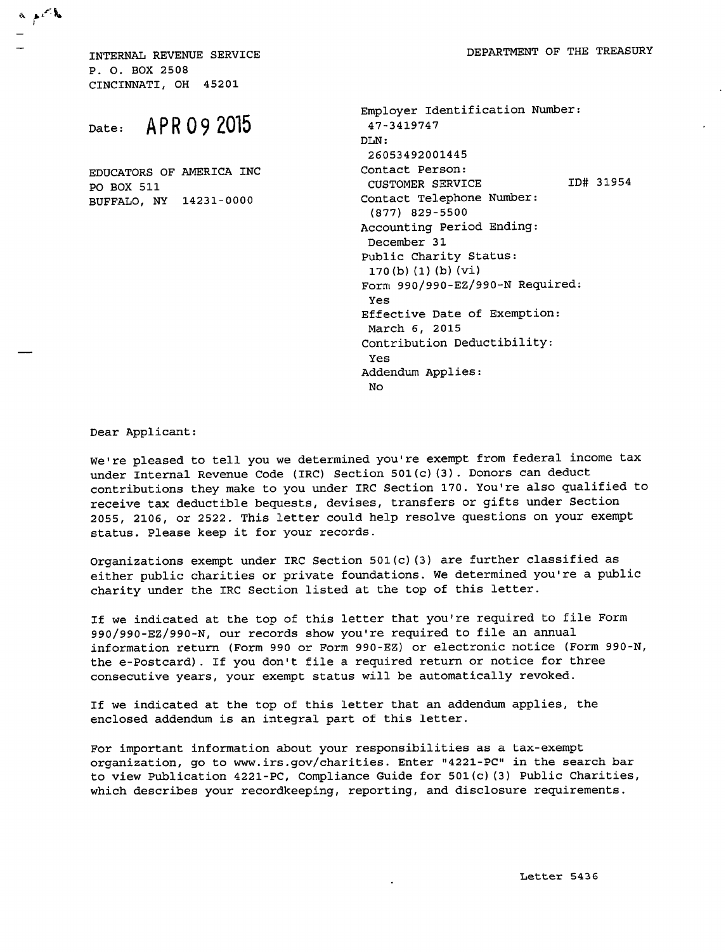INTERNAL REVENUE SERVICE P. 0. BOX 2508 CINCINNATI, OH 45201

a peth

## Date: APR 09 2015

EDUCATORS OF AMERICA INC P0 BOX 511 BUFFALO, NY 14231-0000

| Employer Identification Number:      |
|--------------------------------------|
| 47-3419747                           |
| DLN:                                 |
| 26053492001445                       |
| Contact Person:                      |
| ID# 31954<br><b>CUSTOMER SERVICE</b> |
| Contact Telephone Number:            |
| $(877)$ 829-5500                     |
| Accounting Period Ending:            |
| December 31                          |
| Public Charity Status:               |
| 170(b)(1)(b)(vi)                     |
| Form 990/990-EZ/990-N Required:      |
| Yes                                  |
| Effective Date of Exemption:         |
| March 6, 2015                        |
| Contribution Deductibility:          |
| Yes                                  |
| Addendum Applies:                    |
| No                                   |

Dear Applicant:

We're pleased to tell you we determined you're exempt from federal income tax under Internal Revenue Code (IRC) Section 501(c) (3). Donors can deduct contributions they make to you under IRC Section 170. You're also qualified to receive tax deductible bequests, devises, transfers or gifts under Section 2055, 2106, or 2522. This letter could help resolve questions on your exempt status. Please keep it for your records.

Organizations exempt under IRC Section 501(c) (3) are further classified as either public charities or private foundations. We determined you're a public charity under the IRC Section listed at the top of this letter.

If we indicated at the top of this letter that you're required to file Form 990/990-EZ/990-N, our records show you're required to file an annual information return (Form 990 or Form 990-EZ) or electronic notice (Form 990-N, the e-Postcard). If you don't file a required return or notice for three consecutive years, your exempt status will be automatically revoked.

If we indicated at the top of this letter that an addendum applies, the enclosed addendum is an integral part of this letter.

For important information about your responsibilities as a tax-exempt organization, go to www.irs.gov/charities . Enter **<sup>11</sup>** 4221-PC" in the search bar to view Publication 4221-PC, Compliance Guide for 501(c) (3) Public Charities, which describes your recordkeeping, reporting, and disclosure requirements.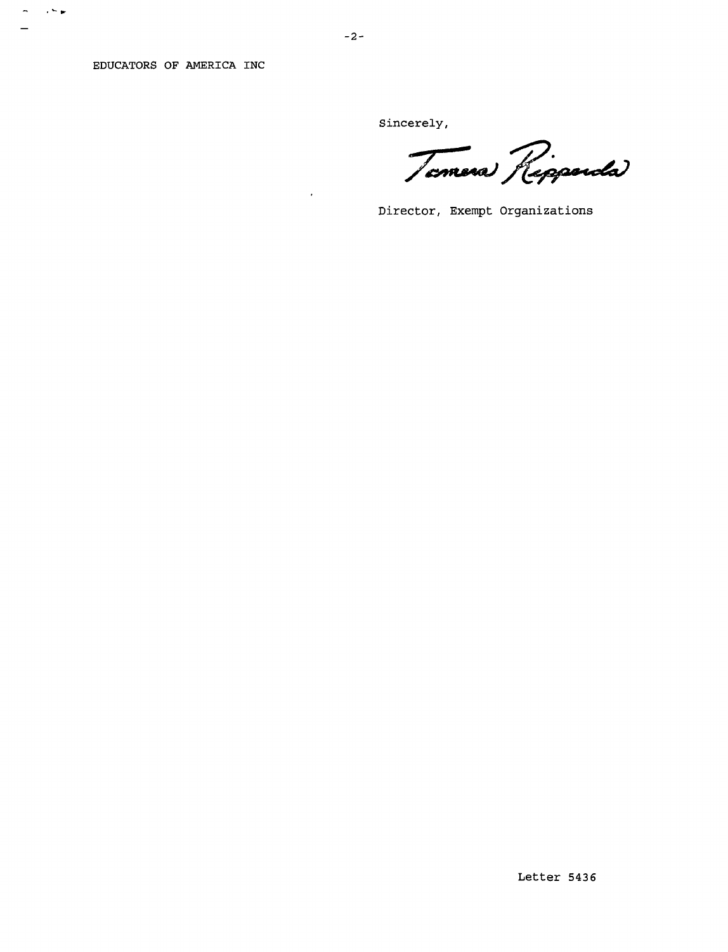EDUCATORS OF AMERICA INC

 $\sigma = \sqrt{2} \, \pi$ 

 $\equiv$ 

Sincerely,

Temera Reppenda

Director, Exempt Organizations

 $\ddot{\phantom{0}}$